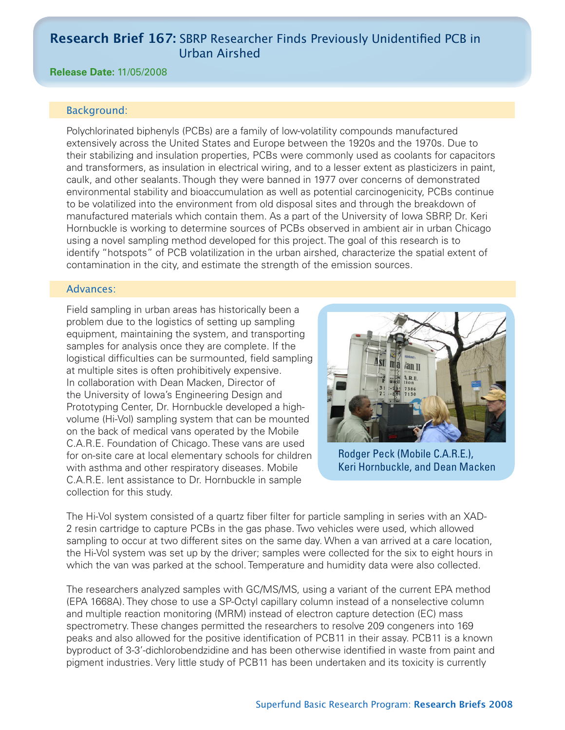# **Research Brief 167:** SBRP Researcher Finds Previously Unidentified PCB in Urban Airshed

### **Release Date:** 11/05/2008

### Background:

Polychlorinated biphenyls (PCBs) are a family of low-volatility compounds manufactured extensively across the United States and Europe between the 1920s and the 1970s. Due to their stabilizing and insulation properties, PCBs were commonly used as coolants for capacitors and transformers, as insulation in electrical wiring, and to a lesser extent as plasticizers in paint, caulk, and other sealants. Though they were banned in 1977 over concerns of demonstrated environmental stability and bioaccumulation as well as potential carcinogenicity, PCBs continue to be volatilized into the environment from old disposal sites and through the breakdown of manufactured materials which contain them. As a part of the University of Iowa SBRP, Dr. Keri Hornbuckle is working to determine sources of PCBs observed in ambient air in urban Chicago using a novel sampling method developed for this project. The goal of this research is to identify "hotspots" of PCB volatilization in the urban airshed, characterize the spatial extent of contamination in the city, and estimate the strength of the emission sources.

### Advances:

Field sampling in urban areas has historically been a problem due to the logistics of setting up sampling equipment, maintaining the system, and transporting samples for analysis once they are complete. If the logistical difficulties can be surmounted, field sampling at multiple sites is often prohibitively expensive. In collaboration with Dean Macken, Director of the University of Iowa's Engineering Design and Prototyping Center, Dr. Hornbuckle developed a highvolume (Hi-Vol) sampling system that can be mounted on the back of medical vans operated by the Mobile C.A.R.E. Foundation of Chicago. These vans are used for on-site care at local elementary schools for children with asthma and other respiratory diseases. Mobile C.A.R.E. lent assistance to Dr. Hornbuckle in sample collection for this study.



Rodger Peck (Mobile C.A.R.E.), Keri Hornbuckle, and Dean Macken

The Hi-Vol system consisted of a quartz fiber filter for particle sampling in series with an XAD-2 resin cartridge to capture PCBs in the gas phase. Two vehicles were used, which allowed sampling to occur at two different sites on the same day. When a van arrived at a care location, the Hi-Vol system was set up by the driver; samples were collected for the six to eight hours in which the van was parked at the school. Temperature and humidity data were also collected.

The researchers analyzed samples with GC/MS/MS, using a variant of the current EPA method (EPA 1668A). They chose to use a SP-Octyl capillary column instead of a nonselective column and multiple reaction monitoring (MRM) instead of electron capture detection (EC) mass spectrometry. These changes permitted the researchers to resolve 209 congeners into 169 peaks and also allowed for the positive identification of PCB11 in their assay. PCB11 is a known byproduct of 3-3'-dichlorobendzidine and has been otherwise identified in waste from paint and pigment industries. Very little study of PCB11 has been undertaken and its toxicity is currently